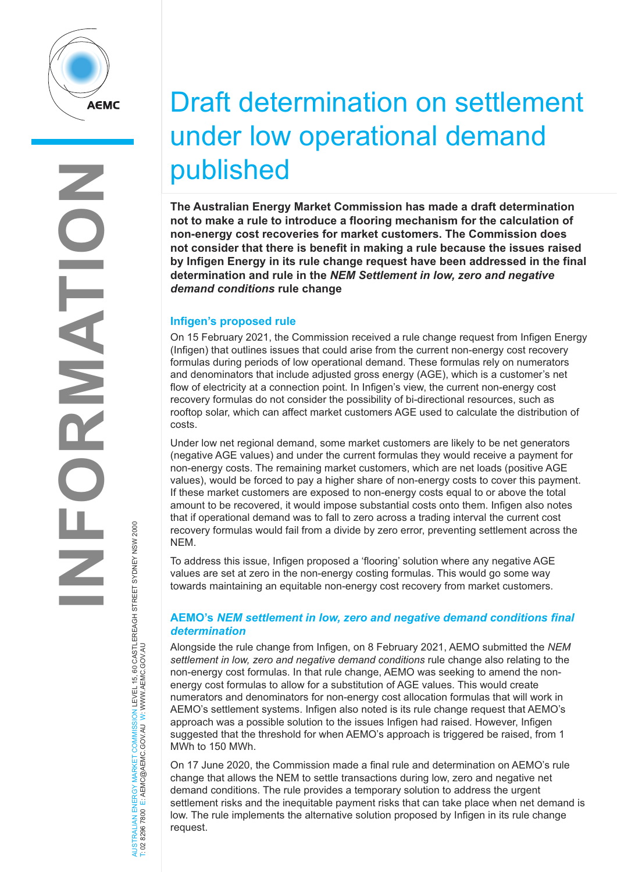

AUSTRALIAN ENERGY MARKET COMMISSION LEVEL 15, 60 CASTLEREAGH STREET SYDNEY NSW 2000

AUSTRALIAN ENERGY MARKET COMMISSION LEVEL 15, 60 CASTLEREAGH STREET SYDNEY NSW 2000<br>T: 02 8296 7800 E: AEMC@AEMC.GOV.AU W: WWW.AEMC.GOV.AU

T: 02 8296 7800 E: AEMC@AEMC.GOV.AU W: WWW.AEMC.GOV.AU

# Draft determination on settlement under low operational demand published

**The Australian Energy Market Commission has made a draft determination not to make a rule to introduce a flooring mechanism for the calculation of non-energy cost recoveries for market customers. The Commission does not consider that there is benefit in making a rule because the issues raised by Infigen Energy in its rule change request have been addressed in the final determination and rule in the** *NEM Settlement in low, zero and negative demand conditions* **rule change** 

## **Infigen's proposed rule**

On 15 February 2021, the Commission received a rule change request from Infigen Energy (Infigen) that outlines issues that could arise from the current non-energy cost recovery formulas during periods of low operational demand. These formulas rely on numerators and denominators that include adjusted gross energy (AGE), which is a customer's net flow of electricity at a connection point. In Infigen's view, the current non-energy cost recovery formulas do not consider the possibility of bi-directional resources, such as rooftop solar, which can affect market customers AGE used to calculate the distribution of costs.

Under low net regional demand, some market customers are likely to be net generators (negative AGE values) and under the current formulas they would receive a payment for non-energy costs. The remaining market customers, which are net loads (positive AGE values), would be forced to pay a higher share of non-energy costs to cover this payment. If these market customers are exposed to non-energy costs equal to or above the total amount to be recovered, it would impose substantial costs onto them. Infigen also notes that if operational demand was to fall to zero across a trading interval the current cost recovery formulas would fail from a divide by zero error, preventing settlement across the NEM.

To address this issue, Infigen proposed a 'flooring' solution where any negative AGE values are set at zero in the non-energy costing formulas. This would go some way towards maintaining an equitable non-energy cost recovery from market customers.

## **AEMO's** *NEM settlement in low, zero and negative demand conditions final determination*

Alongside the rule change from Infigen, on 8 February 2021, AEMO submitted the *NEM settlement in low, zero and negative demand conditions* rule change also relating to the non-energy cost formulas. In that rule change, AEMO was seeking to amend the nonenergy cost formulas to allow for a substitution of AGE values. This would create numerators and denominators for non-energy cost allocation formulas that will work in AEMO's settlement systems. Infigen also noted is its rule change request that AEMO's approach was a possible solution to the issues Infigen had raised. However, Infigen suggested that the threshold for when AEMO's approach is triggered be raised, from 1 MWh to 150 MWh.

On 17 June 2020, the Commission made a final rule and determination on AEMO's rule change that allows the NEM to settle transactions during low, zero and negative net demand conditions. The rule provides a temporary solution to address the urgent settlement risks and the inequitable payment risks that can take place when net demand is low. The rule implements the alternative solution proposed by Infigen in its rule change request.